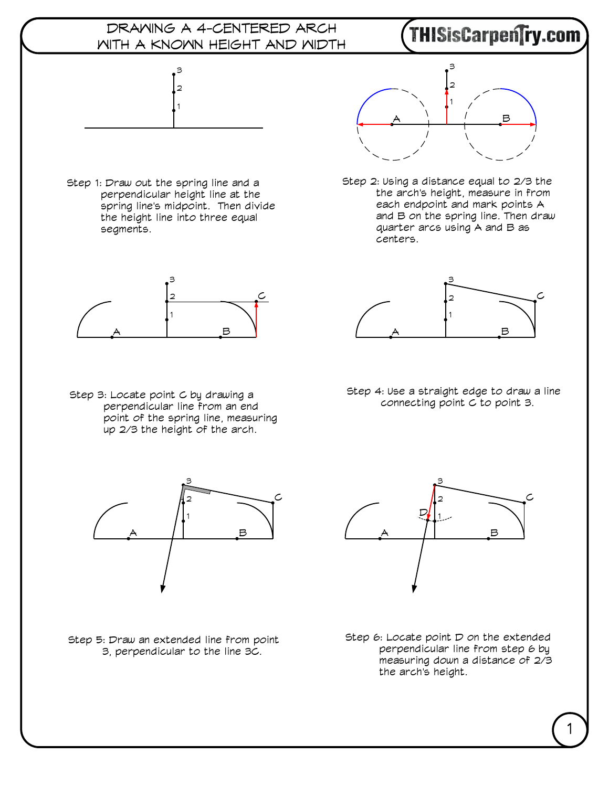

## 1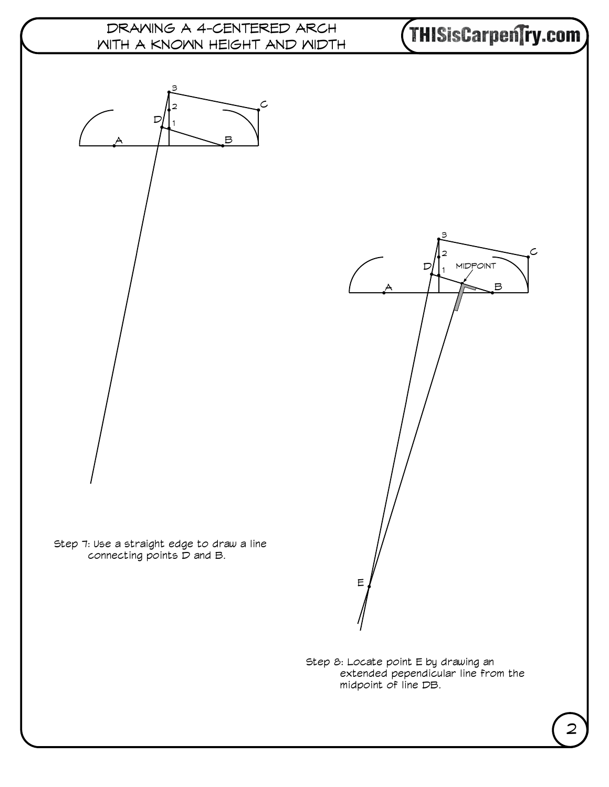